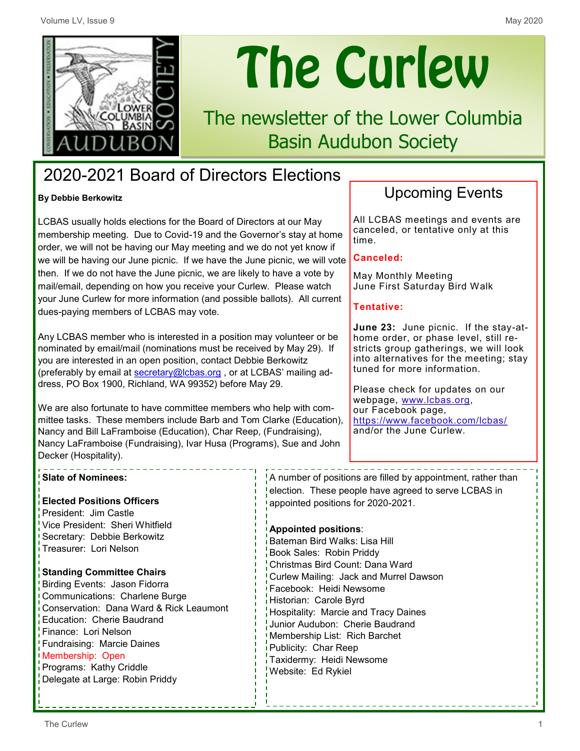

# The Curlew

# The newsletter of the Lower Columbia Basin Audubon Society

## 2020-2021 Board of Directors Elections

#### **By Debbie Berkowitz**

LCBAS usually holds elections for the Board of Directors at our May membership meeting. Due to Covid-19 and the Governor's stay at home order, we will not be having our May meeting and we do not yet know if we will be having our June picnic. If we have the June picnic, we will vote then. If we do not have the June picnic, we are likely to have a vote by mail/email, depending on how you receive your Curlew. Please watch your June Curlew for more information (and possible ballots). All current dues-paying members of LCBAS may vote.

Any LCBAS member who is interested in a position may volunteer or be nominated by email/mail (nominations must be received by May 29). If you are interested in an open position, contact Debbie Berkowitz (preferably by email at [secretary@lcbas.org](mailto:secretary@lcbas.org), or at LCBAS' mailing address, PO Box 1900, Richland, WA 99352) before May 29.

We are also fortunate to have committee members who help with committee tasks. These members include Barb and Tom Clarke (Education), Nancy and Bill LaFramboise (Education), Char Reep, (Fundraising), Nancy LaFramboise (Fundraising), Ivar Husa (Programs), Sue and John Decker (Hospitality).

## Upcoming Events

All LCBAS meetings and events are canceled, or tentative only at this time.

#### **Canceled:**

May Monthly Meeting June First Saturday Bird Walk

#### **Tentative:**

**June 23:** June picnic. If the stay-athome order, or phase level, still restricts group gatherings, we will look into alternatives for the meeting; stay tuned for more information.

Please check for updates on our webpage, www.lcbas.org, our Facebook page, <https://www.facebook.com/lcbas/> and/or the June Curlew.

#### **Slate of Nominees:**

**Elected Positions Officers** President: Jim Castle Vice President: Sheri Whitfield Secretary: Debbie Berkowitz Treasurer: Lori Nelson

#### **Standing Committee Chairs**

Birding Events: Jason Fidorra Communications: Charlene Burge Conservation: Dana Ward & Rick Leaumont Education: Cherie Baudrand Finance: Lori Nelson Fundraising: Marcie Daines Membership: Open Programs: Kathy Criddle Delegate at Large: Robin Priddy

A number of positions are filled by appointment, rather than election. These people have agreed to serve LCBAS in appointed positions for 2020-2021.

#### **Appointed positions**:

Bateman Bird Walks: Lisa Hill Book Sales: Robin Priddy Christmas Bird Count: Dana Ward Curlew Mailing: Jack and Murrel Dawson Facebook: Heidi Newsome Historian: Carole Byrd Hospitality: Marcie and Tracy Daines Junior Audubon: Cherie Baudrand Membership List: Rich Barchet Publicity: Char Reep Taxidermy: Heidi Newsome Website: Ed Rykiel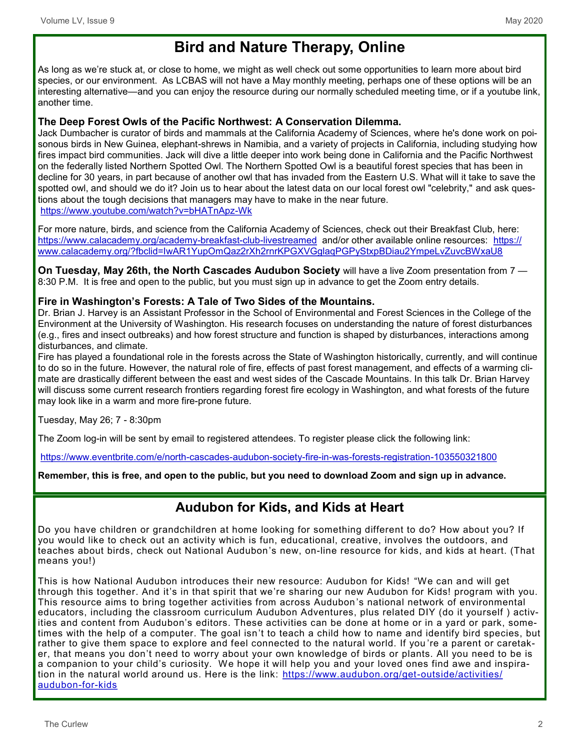## **Bird and Nature Therapy, Online**

As long as we're stuck at, or close to home, we might as well check out some opportunities to learn more about bird species, or our environment. As LCBAS will not have a May monthly meeting, perhaps one of these options will be an interesting alternative—and you can enjoy the resource during our normally scheduled meeting time, or if a youtube link, another time.

#### **The Deep Forest Owls of the Pacific Northwest: A Conservation Dilemma.**

Jack Dumbacher is curator of birds and mammals at the California Academy of Sciences, where he's done work on poisonous birds in New Guinea, elephant-shrews in Namibia, and a variety of projects in California, including studying how fires impact bird communities. Jack will dive a little deeper into work being done in California and the Pacific Northwest on the federally listed Northern Spotted Owl. The Northern Spotted Owl is a beautiful forest species that has been in decline for 30 years, in part because of another owl that has invaded from the Eastern U.S. What will it take to save the spotted owl, and should we do it? Join us to hear about the latest data on our local forest owl "celebrity," and ask questions about the tough decisions that managers may have to make in the near future. [https://www.youtube.com/watch?v=bHATnApz](https://www.youtube.com/watch?v=bHATnApz-Wk)-Wk

For more nature, birds, and science from the California Academy of Sciences, check out their Breakfast Club, here: [https://www.calacademy.org/academy](https://www.calacademy.org/academy-breakfast-club-livestreamed)-breakfast-club-livestreamed and/or other available online resources: [https://](https://www.calacademy.org/?fbclid=IwAR1YupOmQaz2rXh2rnrKPGXVGglaqPGPyStxpBDiau2YmpeLvZuvcBWxaU8) [www.calacademy.org/?fbclid=IwAR1YupOmQaz2rXh2rnrKPGXVGglaqPGPyStxpBDiau2YmpeLvZuvcBWxaU8](https://www.calacademy.org/?fbclid=IwAR1YupOmQaz2rXh2rnrKPGXVGglaqPGPyStxpBDiau2YmpeLvZuvcBWxaU8)

**On Tuesday, May 26th, the North Cascades Audubon Society** will have a live Zoom presentation from 7 — 8:30 P.M. It is free and open to the public, but you must sign up in advance to get the Zoom entry details.

#### **Fire in Washington's Forests: A Tale of Two Sides of the Mountains.**

Dr. Brian J. Harvey is an Assistant Professor in the School of Environmental and Forest Sciences in the College of the Environment at the University of Washington. His research focuses on understanding the nature of forest disturbances (e.g., fires and insect outbreaks) and how forest structure and function is shaped by disturbances, interactions among disturbances, and climate.

Fire has played a foundational role in the forests across the State of Washington historically, currently, and will continue to do so in the future. However, the natural role of fire, effects of past forest management, and effects of a warming climate are drastically different between the east and west sides of the Cascade Mountains. In this talk Dr. Brian Harvey will discuss some current research frontiers regarding forest fire ecology in Washington, and what forests of the future may look like in a warm and more fire-prone future.

Tuesday, May 26; 7 - 8:30pm

The Zoom log-in will be sent by email to registered attendees. To register please click the following link:

[https://www.eventbrite.com/e/north](https://www.eventbrite.com/e/north-cascades-audubon-society-fire-in-was-forests-registration-103550321800)-cascades-audubon-society-fire-in-was-forests-registration-103550321800

**Remember, this is free, and open to the public, but you need to download Zoom and sign up in advance.**

## **Audubon for Kids, and Kids at Heart**

Do you have children or grandchildren at home looking for something different to do? How about you? If you would like to check out an activity which is fun, educational, creative, involves the outdoors, and teaches about birds, check out National Audubon's new, on-line resource for kids, and kids at heart. (That means you!)

This is how National Audubon introduces their new resource: Audubon for Kids! "We can and will get through this together. And it's in that spirit that we're sharing our new Audubon for Kids! program with you. This resource aims to bring together activities from across Audubon 's national network of environmental educators, including the classroom curriculum Audubon Adventures, plus related DIY (do it yourself ) activities and content from Audubon's editors. These activities can be done at home or in a yard or park, sometimes with the help of a computer. The goal isn't to teach a child how to name and identify bird species, but rather to give them space to explore and feel connected to the natural world. If you 're a parent or caretaker, that means you don't need to worry about your own knowledge of birds or plants. All you need to be is a companion to your child's curiosity. We hope it will help you and your loved ones find awe and inspiration in the natural world around us. Here is the link: https://www.audubon.org/get-outside/activities/ audubon-for-kids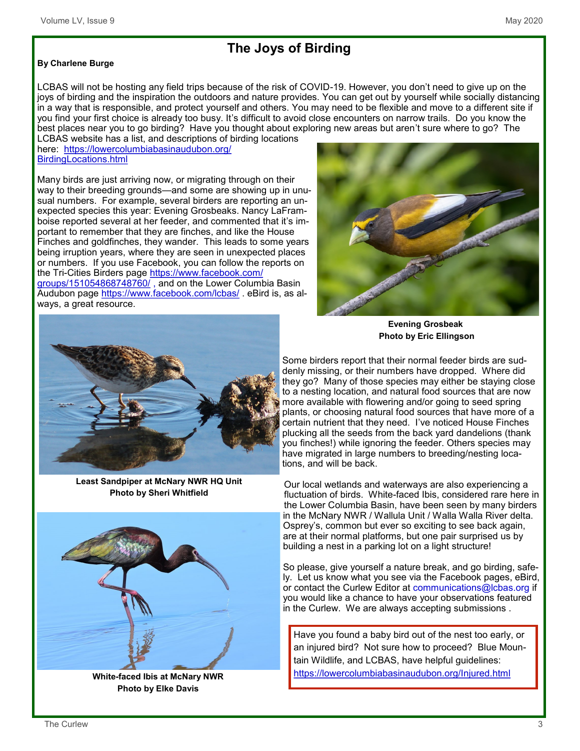## **The Joys of Birding**

#### **By Charlene Burge**

LCBAS will not be hosting any field trips because of the risk of COVID-19. However, you don't need to give up on the joys of birding and the inspiration the outdoors and nature provides. You can get out by yourself while socially distancing in a way that is responsible, and protect yourself and others. You may need to be flexible and move to a different site if you find your first choice is already too busy. It's difficult to avoid close encounters on narrow trails. Do you know the best places near you to go birding? Have you thought about exploring new areas but aren't sure where to go? The

LCBAS website has a list, and descriptions of birding locations here: [https://lowercolumbiabasinaudubon.org/](https://lowercolumbiabasinaudubon.org/BirdingLocations.html) [BirdingLocations.html](https://lowercolumbiabasinaudubon.org/BirdingLocations.html)

Many birds are just arriving now, or migrating through on their way to their breeding grounds—and some are showing up in unusual numbers. For example, several birders are reporting an unexpected species this year: Evening Grosbeaks. Nancy LaFramboise reported several at her feeder, and commented that it's important to remember that they are finches, and like the House Finches and goldfinches, they wander. This leads to some years being irruption years, where they are seen in unexpected places or numbers. If you use Facebook, you can follow the reports on the Tri-Cities Birders page [https://www.facebook.com/](https://www.facebook.com/groups/151054868748760/) [groups/151054868748760/](https://www.facebook.com/groups/151054868748760/) , and on the Lower Columbia Basin Audubon page<https://www.facebook.com/lcbas/> . eBird is, as always, a great resource.



 **Evening Grosbeak Photo by Eric Ellingson**

Some birders report that their normal feeder birds are suddenly missing, or their numbers have dropped. Where did they go? Many of those species may either be staying close to a nesting location, and natural food sources that are now more available with flowering and/or going to seed spring plants, or choosing natural food sources that have more of a certain nutrient that they need. I've noticed House Finches plucking all the seeds from the back yard dandelions (thank you finches!) while ignoring the feeder. Others species may have migrated in large numbers to breeding/nesting locations, and will be back.

Our local wetlands and waterways are also experiencing a fluctuation of birds. White-faced Ibis, considered rare here in the Lower Columbia Basin, have been seen by many birders in the McNary NWR / Wallula Unit / Walla Walla River delta. Osprey's, common but ever so exciting to see back again, are at their normal platforms, but one pair surprised us by building a nest in a parking lot on a light structure!

So please, give yourself a nature break, and go birding, safely. Let us know what you see via the Facebook pages, eBird, or contact the Curlew Editor at communications@lcbas.org if you would like a chance to have your observations featured in the Curlew. We are always accepting submissions .

Have you found a baby bird out of the nest too early, or an injured bird? Not sure how to proceed? Blue Mountain Wildlife, and LCBAS, have helpful guidelines: <https://lowercolumbiabasinaudubon.org/Injured.html>



**Least Sandpiper at McNary NWR HQ Unit Photo by Sheri Whitfield**



**White-faced Ibis at McNary NWR Photo by Elke Davis**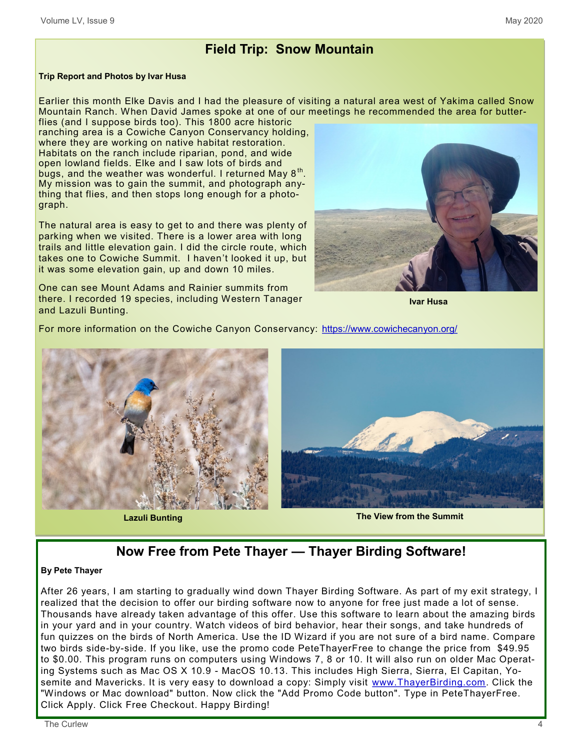## **Field Trip: Snow Mountain**

#### **Trip Report and Photos by Ivar Husa**

Earlier this month Elke Davis and I had the pleasure of visiting a natural area west of Yakima called Snow Mountain Ranch. When David James spoke at one of our meetings he recommended the area for butterflies (and I suppose birds too). This 1800 acre historic

ranching area is a Cowiche Canyon Conservancy holding, where they are working on native habitat restoration. Habitats on the ranch include riparian, pond, and wide open lowland fields. Elke and I saw lots of birds and bugs, and the weather was wonderful. I returned May  $8^\mathrm{th}$ . My mission was to gain the summit, and photograph anything that flies, and then stops long enough for a photograph.

The natural area is easy to get to and there was plenty of parking when we visited. There is a lower area with long trails and little elevation gain. I did the circle route, which takes one to Cowiche Summit. I haven't looked it up, but it was some elevation gain, up and down 10 miles.

One can see Mount Adams and Rainier summits from there. I recorded 19 species, including Western Tanager and Lazuli Bunting.

**Ivar Husa**

For more information on the Cowiche Canyon Conservancy: <https://www.cowichecanyon.org/>





## **Now Free from Pete Thayer — Thayer Birding Software!**

#### **By Pete Thayer**

After 26 years, I am starting to gradually wind down Thayer Birding Software. As part of my exit strategy, I realized that the decision to offer our birding software now to anyone for free just made a lot of sense. Thousands have already taken advantage of this offer. Use this software to learn about the amazing birds in your yard and in your country. Watch videos of bird behavior, hear their songs, and take hundreds of fun quizzes on the birds of North America. Use the ID Wizard if you are not sure of a bird name. Compare two birds side-by-side. If you like, use the promo code PeteThayerFree to change the price from \$49.95 to \$0.00. This program runs on computers using Windows 7, 8 or 10. It will also run on older Mac Operating Systems such as Mac OS X 10.9 - MacOS 10.13. This includes High Sierra, Sierra, El Capitan, Yosemite and Mavericks. It is very easy to download a copy: Simply visit www.ThayerBirding.com. Click the "Windows or Mac download" button. Now click the "Add Promo Code button". Type in PeteThayerFree. Click Apply. Click Free Checkout. Happy Birding!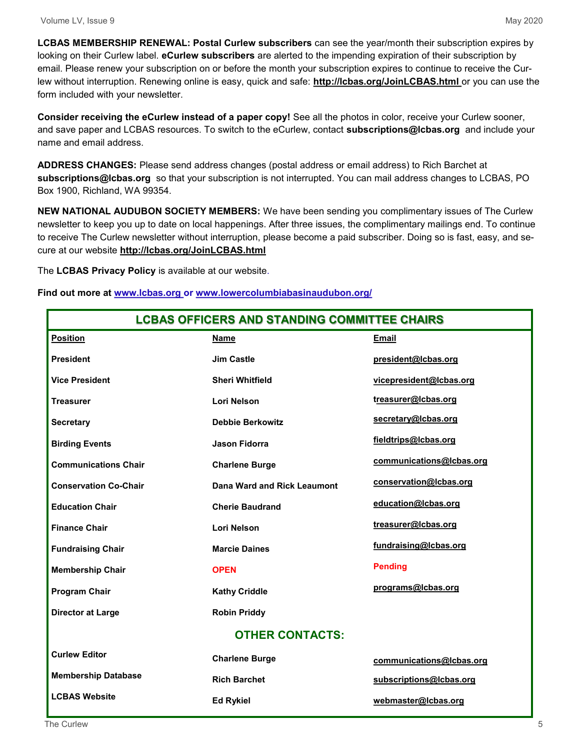**LCBAS MEMBERSHIP RENEWAL: Postal Curlew subscribers** can see the year/month their subscription expires by looking on their Curlew label. **eCurlew subscribers** are alerted to the impending expiration of their subscription by email. Please renew your subscription on or before the month your subscription expires to continue to receive the Curlew without interruption. Renewing online is easy, quick and safe: **http://lcbas.org/JoinLCBAS.html** or you can use the form included with your newsletter.

**Consider receiving the eCurlew instead of a paper copy!** See all the photos in color, receive your Curlew sooner, and save paper and LCBAS resources. To switch to the eCurlew, contact **subscriptions@lcbas.org** and include your name and email address.

**ADDRESS CHANGES:** Please send address changes (postal address or email address) to Rich Barchet at **subscriptions@lcbas.org** so that your subscription is not interrupted. You can mail address changes to LCBAS, PO Box 1900, Richland, WA 99354.

**NEW NATIONAL AUDUBON SOCIETY MEMBERS:** We have been sending you complimentary issues of The Curlew newsletter to keep you up to date on local happenings. After three issues, the complimentary mailings end. To continue to receive The Curlew newsletter without interruption, please become a paid subscriber. Doing so is fast, easy, and secure at our website **http://lcbas.org/JoinLCBAS.html**

The **LCBAS Privacy Policy** is available at our website.

**Find out more at www.lcbas.org or www.lowercolumbiabasinaudubon.org/**

| <b>LCBAS OFFICERS AND STANDING COMMITTEE CHAIRS</b> |                             |                          |
|-----------------------------------------------------|-----------------------------|--------------------------|
| <b>Position</b>                                     | <b>Name</b>                 | <b>Email</b>             |
| <b>President</b>                                    | <b>Jim Castle</b>           | president@lcbas.org      |
| <b>Vice President</b>                               | <b>Sheri Whitfield</b>      | vicepresident@lcbas.org  |
| <b>Treasurer</b>                                    | <b>Lori Nelson</b>          | treasurer@Icbas.org      |
| <b>Secretary</b>                                    | <b>Debbie Berkowitz</b>     | secretary@Icbas.org      |
| <b>Birding Events</b>                               | Jason Fidorra               | fieldtrips@lcbas.org     |
| <b>Communications Chair</b>                         | <b>Charlene Burge</b>       | communications@lcbas.org |
| <b>Conservation Co-Chair</b>                        | Dana Ward and Rick Leaumont | conservation@lcbas.org   |
| <b>Education Chair</b>                              | <b>Cherie Baudrand</b>      | education@Icbas.org      |
| <b>Finance Chair</b>                                | <b>Lori Nelson</b>          | treasurer@Icbas.org      |
| <b>Fundraising Chair</b>                            | <b>Marcie Daines</b>        | fundraising@lcbas.org    |
| <b>Membership Chair</b>                             | <b>OPEN</b>                 | <b>Pending</b>           |
| <b>Program Chair</b>                                | <b>Kathy Criddle</b>        | programs@lcbas.org       |
| <b>Director at Large</b>                            | <b>Robin Priddy</b>         |                          |
| <b>OTHER CONTACTS:</b>                              |                             |                          |
| <b>Curlew Editor</b>                                | <b>Charlene Burge</b>       | communications@lcbas.org |
| <b>Membership Database</b>                          | <b>Rich Barchet</b>         | subscriptions@lcbas.org  |
| <b>LCBAS Website</b>                                | <b>Ed Rykiel</b>            | webmaster@lcbas.org      |